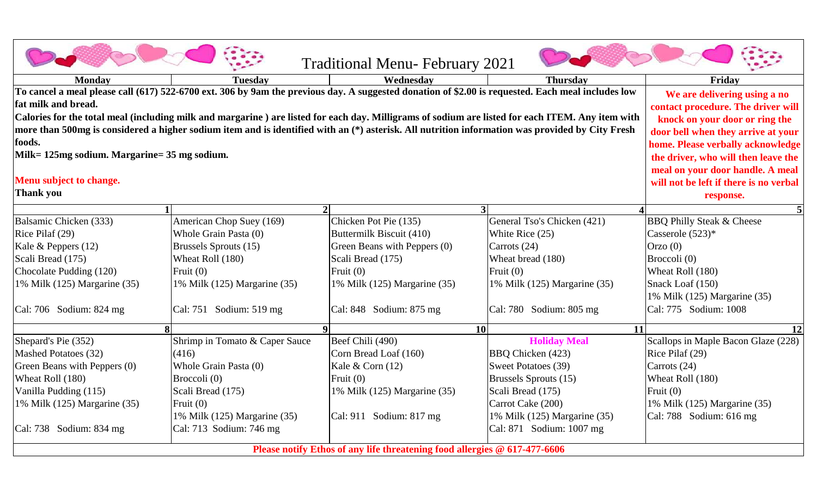|                                                                                                                                                                                                                                                                                                               |                                                                                                           | <b>Traditional Menu-February 2021</b>             |                                 |                                      |  |  |
|---------------------------------------------------------------------------------------------------------------------------------------------------------------------------------------------------------------------------------------------------------------------------------------------------------------|-----------------------------------------------------------------------------------------------------------|---------------------------------------------------|---------------------------------|--------------------------------------|--|--|
| <b>Monday</b>                                                                                                                                                                                                                                                                                                 | <b>Tuesday</b>                                                                                            | Wednesdav                                         | <b>Thursday</b>                 | Friday                               |  |  |
| To cancel a meal please call (617) 522-6700 ext. 306 by 9am the previous day. A suggested donation of \$2.00 is requested. Each meal includes low<br>fat milk and bread.                                                                                                                                      | We are delivering using a no<br>contact procedure. The driver will                                        |                                                   |                                 |                                      |  |  |
| Calories for the total meal (including milk and margarine) are listed for each day. Milligrams of sodium are listed for each ITEM. Any item with<br>more than 500mg is considered a higher sodium item and is identified with an (*) asterisk. All nutrition information was provided by City Fresh<br>foods. | knock on your door or ring the<br>door bell when they arrive at your<br>home. Please verbally acknowledge |                                                   |                                 |                                      |  |  |
| Milk= 125mg sodium. Margarine= 35 mg sodium.                                                                                                                                                                                                                                                                  | the driver, who will then leave the                                                                       |                                                   |                                 |                                      |  |  |
| Menu subject to change.<br><b>Thank you</b>                                                                                                                                                                                                                                                                   | meal on your door handle. A meal<br>will not be left if there is no verbal<br>response.                   |                                                   |                                 |                                      |  |  |
|                                                                                                                                                                                                                                                                                                               |                                                                                                           | $\mathbf{3}$                                      |                                 |                                      |  |  |
| Balsamic Chicken (333)                                                                                                                                                                                                                                                                                        | American Chop Suey (169)<br>Whole Grain Pasta (0)                                                         | Chicken Pot Pie (135)<br>Buttermilk Biscuit (410) | General Tso's Chicken (421)     | <b>BBQ Philly Steak &amp; Cheese</b> |  |  |
| Rice Pilaf (29)<br>Kale & Peppers (12)                                                                                                                                                                                                                                                                        | Brussels Sprouts (15)                                                                                     | Green Beans with Peppers (0)                      | White Rice (25)<br>Carrots (24) | Casserole (523)*<br>$O$ rzo $(0)$    |  |  |
| Scali Bread (175)                                                                                                                                                                                                                                                                                             | Wheat Roll (180)                                                                                          | Scali Bread (175)                                 | Wheat bread (180)               | Broccoli (0)                         |  |  |
| Chocolate Pudding (120)                                                                                                                                                                                                                                                                                       | Fruit $(0)$                                                                                               | Fruit $(0)$                                       | Fruit $(0)$                     | Wheat Roll (180)                     |  |  |
| 1% Milk (125) Margarine (35)                                                                                                                                                                                                                                                                                  | 1% Milk (125) Margarine (35)                                                                              | 1% Milk (125) Margarine (35)                      | 1% Milk (125) Margarine (35)    | Snack Loaf (150)                     |  |  |
|                                                                                                                                                                                                                                                                                                               |                                                                                                           |                                                   |                                 | 1% Milk (125) Margarine (35)         |  |  |
| Cal: 706 Sodium: 824 mg                                                                                                                                                                                                                                                                                       | Cal: 751 Sodium: 519 mg                                                                                   | Cal: 848 Sodium: 875 mg                           | Cal: 780 Sodium: 805 mg         | Cal: 775 Sodium: 1008                |  |  |
| $\bf{8}$                                                                                                                                                                                                                                                                                                      |                                                                                                           | <b>10</b>                                         | <b>11</b>                       | 12                                   |  |  |
| Shepard's Pie (352)                                                                                                                                                                                                                                                                                           | Shrimp in Tomato & Caper Sauce                                                                            | Beef Chili (490)                                  | <b>Holiday Meal</b>             | Scallops in Maple Bacon Glaze (228)  |  |  |
| Mashed Potatoes (32)                                                                                                                                                                                                                                                                                          | (416)                                                                                                     | Corn Bread Loaf (160)                             | BBQ Chicken (423)               | Rice Pilaf (29)                      |  |  |
| Green Beans with Peppers (0)                                                                                                                                                                                                                                                                                  | Whole Grain Pasta (0)                                                                                     | Kale & Corn $(12)$                                | Sweet Potatoes (39)             | Carrots (24)                         |  |  |
| Wheat Roll (180)                                                                                                                                                                                                                                                                                              | Broccoli (0)                                                                                              | Fruit $(0)$                                       | Brussels Sprouts (15)           | Wheat Roll (180)                     |  |  |
| Vanilla Pudding (115)                                                                                                                                                                                                                                                                                         | Scali Bread (175)                                                                                         | 1% Milk (125) Margarine (35)                      | Scali Bread (175)               | Fruit $(0)$                          |  |  |
| 1% Milk (125) Margarine (35)                                                                                                                                                                                                                                                                                  | Fruit $(0)$                                                                                               |                                                   | Carrot Cake (200)               | 1% Milk (125) Margarine (35)         |  |  |
|                                                                                                                                                                                                                                                                                                               | 1% Milk (125) Margarine (35)                                                                              | Cal: 911 Sodium: 817 mg                           | 1% Milk (125) Margarine (35)    | Cal: 788 Sodium: 616 mg              |  |  |
| Cal: 738 Sodium: 834 mg                                                                                                                                                                                                                                                                                       | Cal: 713 Sodium: 746 mg                                                                                   |                                                   | Cal: 871 Sodium: 1007 mg        |                                      |  |  |
| Please notify Ethos of any life threatening food allergies @ 617-477-6606                                                                                                                                                                                                                                     |                                                                                                           |                                                   |                                 |                                      |  |  |